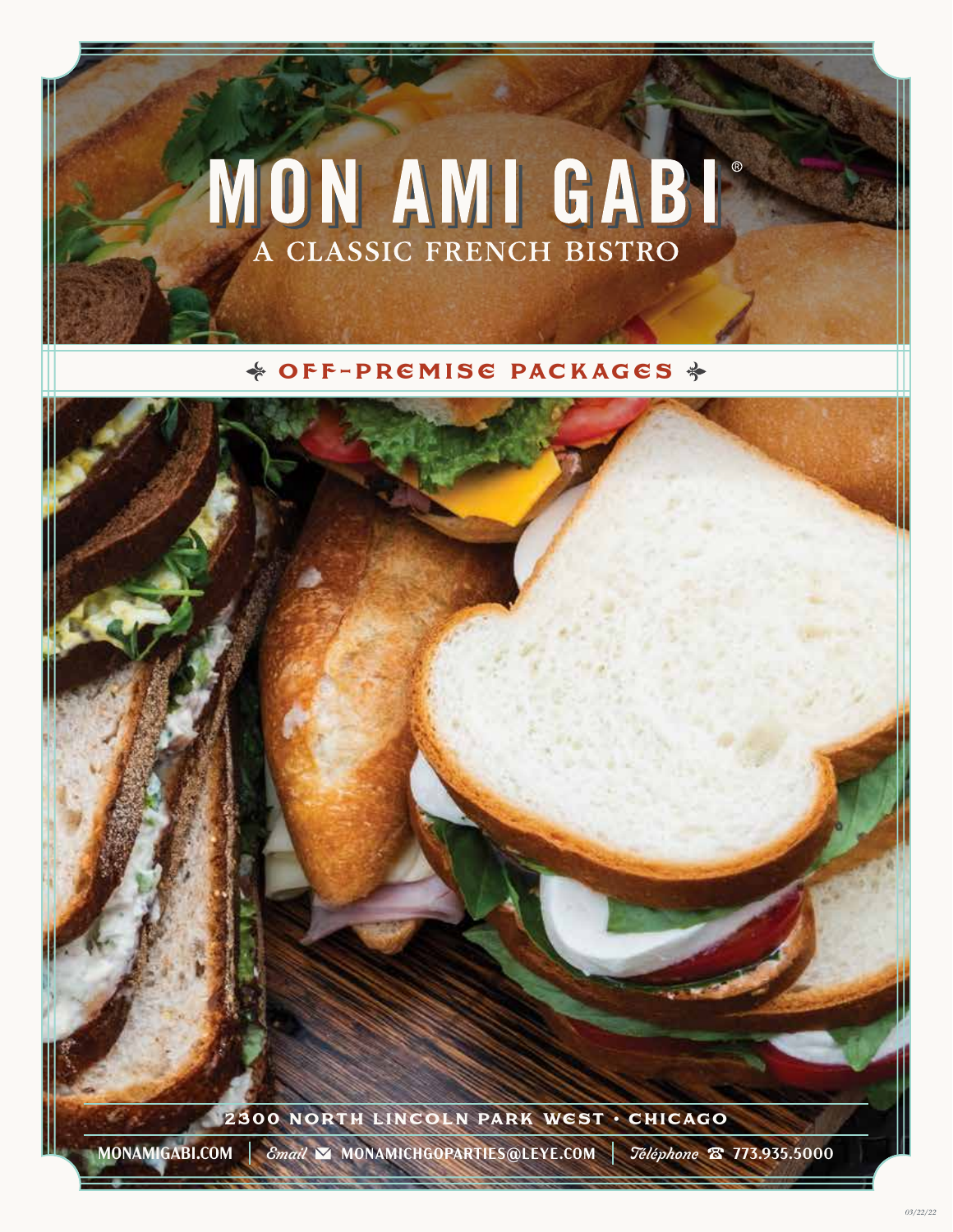# MON AMI GABI

## $\triangleq$  OFF-PREMISE PACKAGES  $\triangleq$

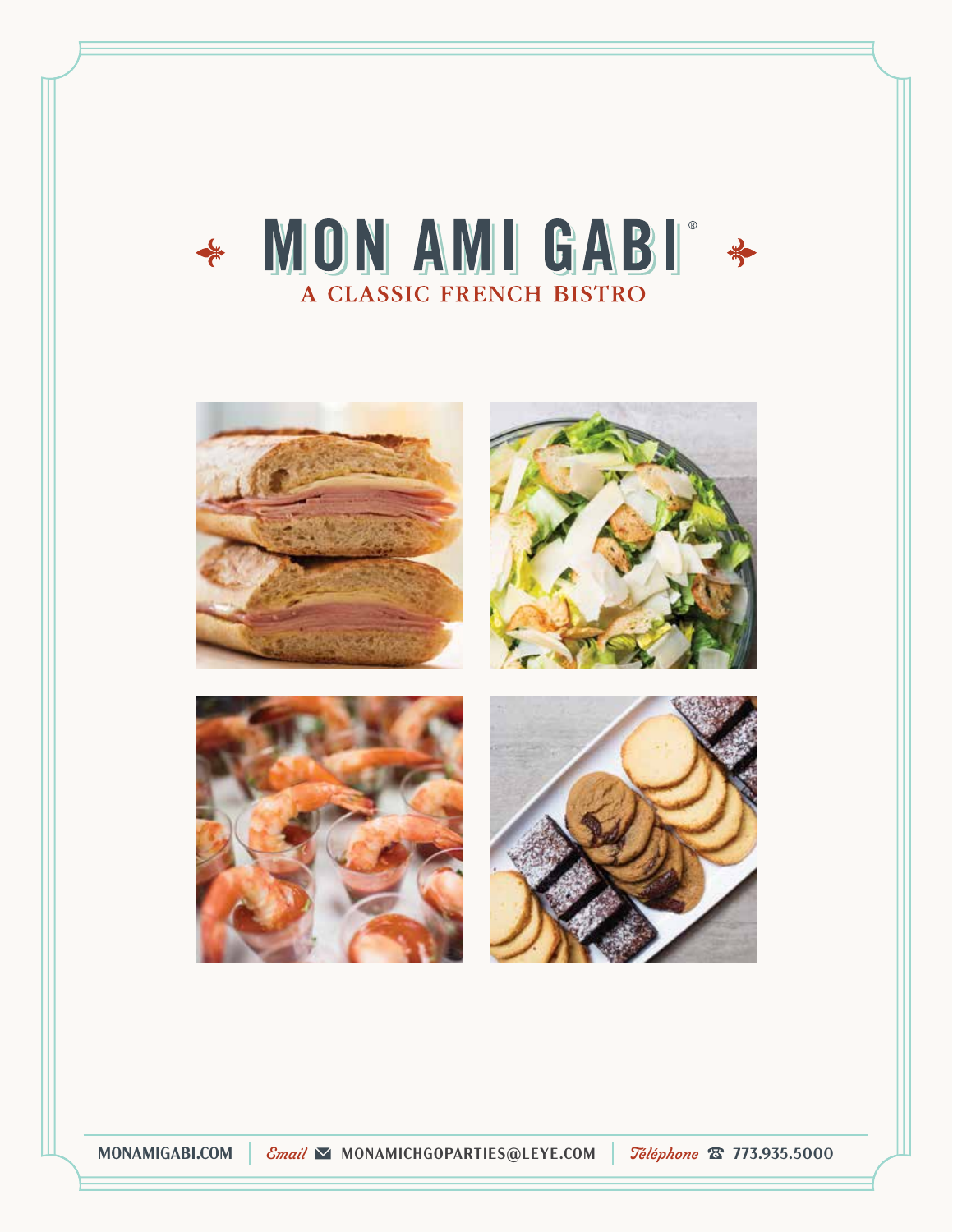# \* MON AMI GABI \* A CLASSIC FRENCH BISTRO



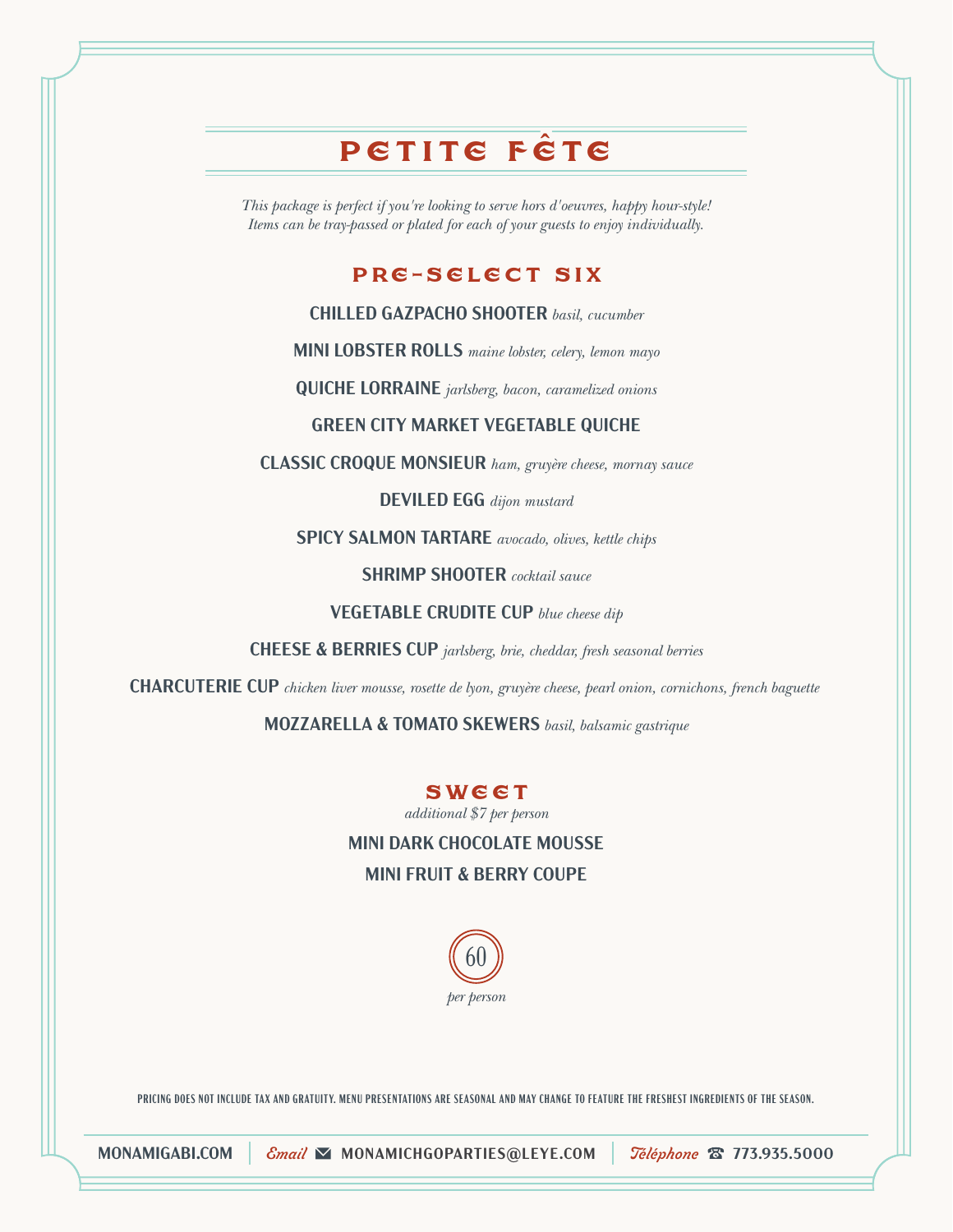# PETITE FÊTE

*This package is perfect if you're looking to serve hors d'oeuvres, happy hour-style! Items can be tray-passed or plated for each of your guests to enjoy individually.*

## Pre-select Six

**CHILLED GAZPACHO SHOOTER** *basil, cucumber*

**MINI LOBSTER ROLLS** *maine lobster, celery, lemon mayo*

**QUICHE LORRAINE** *jarlsberg, bacon, caramelized onions*

#### **GREEN CITY MARKET VEGETABLE QUICHE**

**CLASSIC CROQUE MONSIEUR** *ham, gruyère cheese, mornay sauce*

**DEVILED EGG** *dijon mustard*

**SPICY SALMON TARTARE** *avocado, olives, kettle chips*

**SHRIMP SHOOTER** *cocktail sauce*

**VEGETABLE CRUDITE CUP** *blue cheese dip*

**CHEESE & BERRIES CUP** *jarlsberg, brie, cheddar, fresh seasonal berries*

**CHARCUTERIE CUP** *chicken liver mousse, rosette de lyon, gruyère cheese, pearl onion, cornichons, french baguette* 

**MOZZARELLA & TOMATO SKEWERS** *basil, balsamic gastrique*

#### **SWEET**

*additional \$7 per person*

**MINI DARK CHOCOLATE MOUSSE MINI FRUIT & BERRY COUPE**



**PRICING DOES NOT INCLUDE TAX AND GRATUITY. MENU PRESENTATIONS ARE SEASONAL AND MAY CHANGE TO FEATURE THE FRESHEST INGREDIENTS OF THE SEASON.**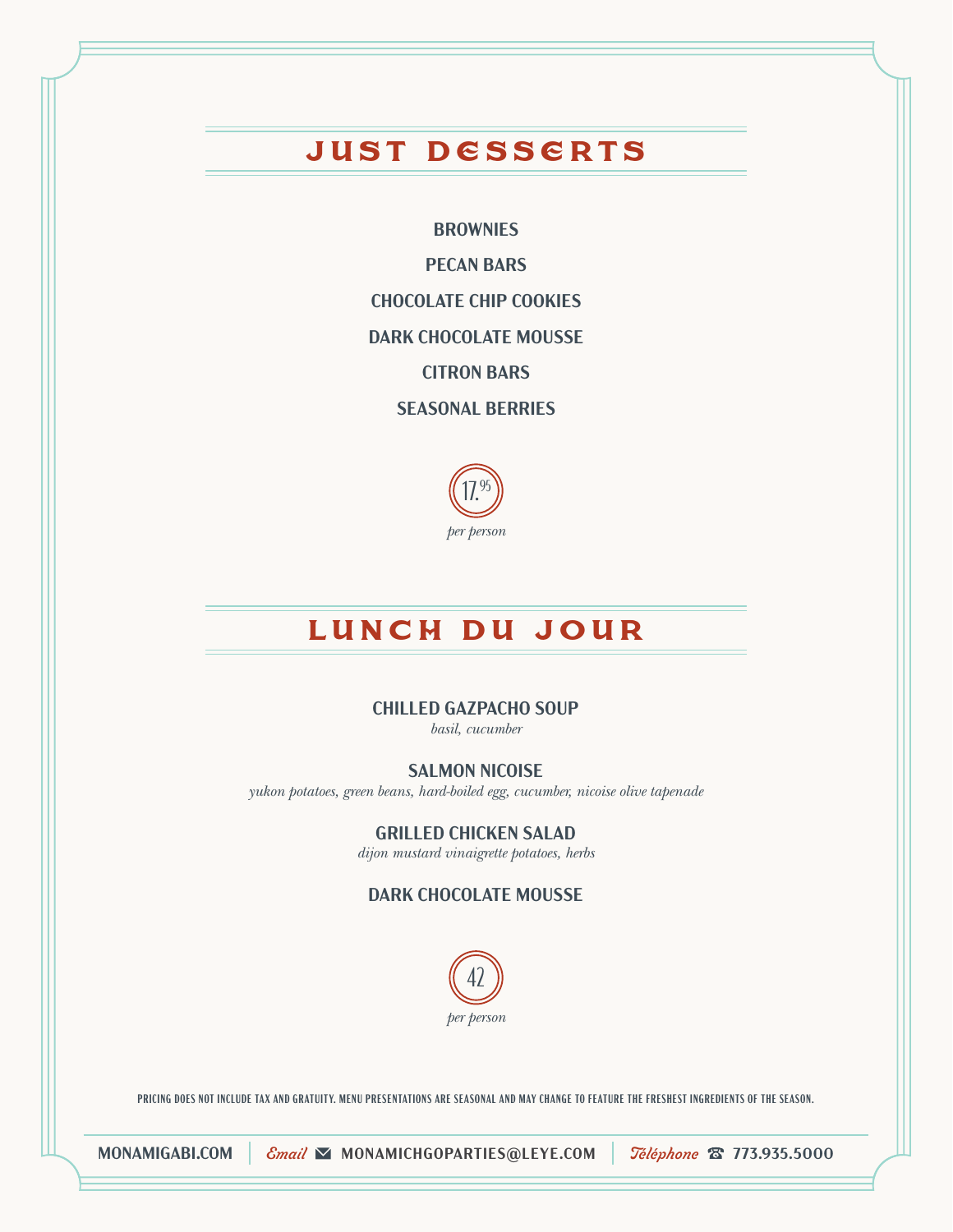# Just Desserts

**BROWNIES**

**PECAN BARS**

**CHOCOLATE CHIP COOKIES**

**DARK CHOCOLATE MOUSSE**

**CITRON BARS**

**SEASONAL BERRIES**



## LUNCH DU JOUR

#### **CHILLED GAZPACHO SOUP**

*basil, cucumber*

#### **SALMON NICOISE**

*yukon potatoes, green beans, hard-boiled egg, cucumber, nicoise olive tapenade*

**GRILLED CHICKEN SALAD**

*dijon mustard vinaigrette potatoes, herbs*

**DARK CHOCOLATE MOUSSE**



**PRICING DOES NOT INCLUDE TAX AND GRATUITY. MENU PRESENTATIONS ARE SEASONAL AND MAY CHANGE TO FEATURE THE FRESHEST INGREDIENTS OF THE SEASON.**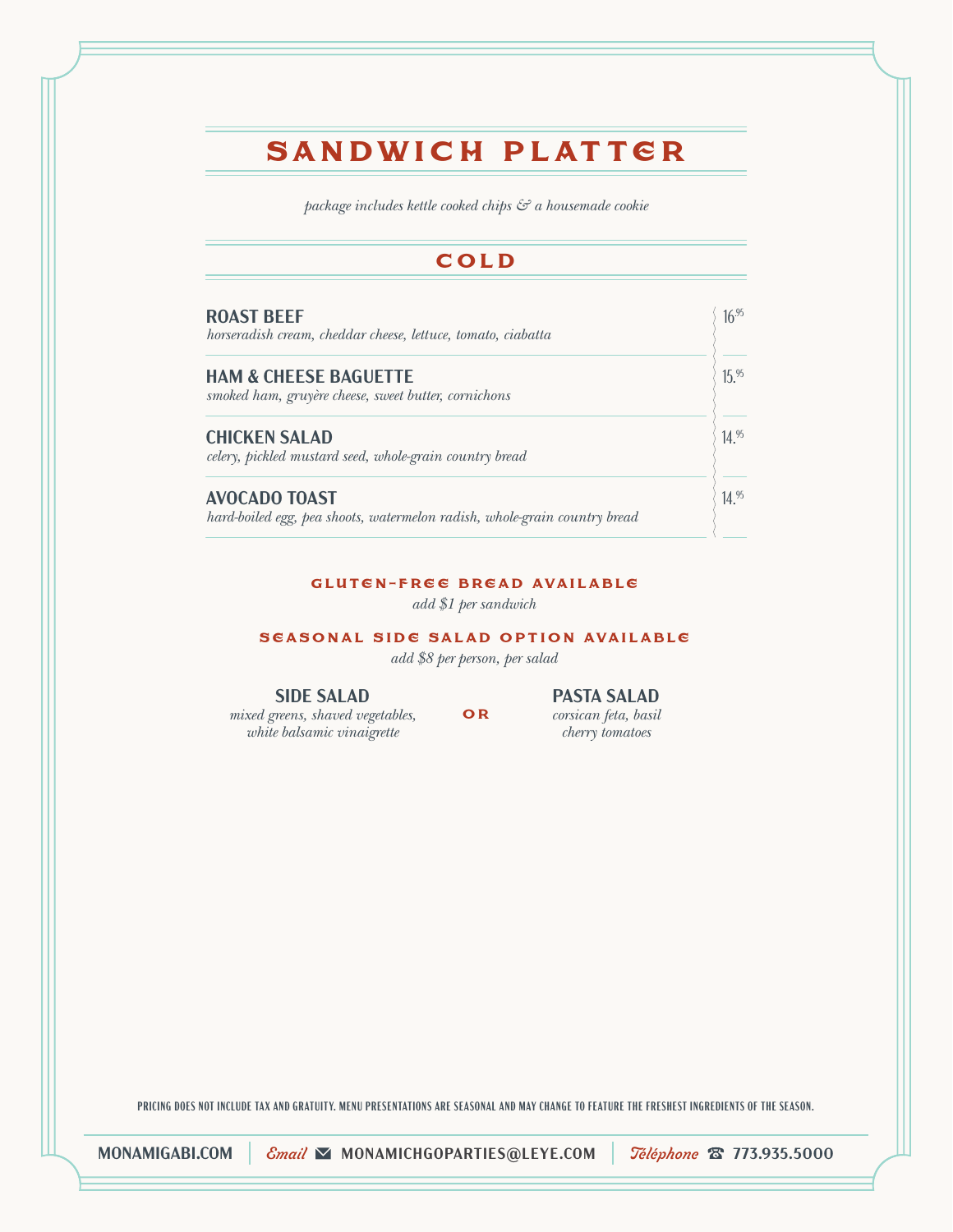# Sandwich Platter

*package includes kettle cooked chips & a housemade cookie*

## C o L D

| <b>ROAST BEEF</b><br>horseradish cream, cheddar cheese, lettuce, tomato, ciabatta                 | $16^{.95}$ |
|---------------------------------------------------------------------------------------------------|------------|
| <b>HAM &amp; CHEESE BAGUETTE</b><br>smoked ham, gruyère cheese, sweet butter, cornichons          | $15^{95}$  |
| <b>CHICKEN SALAD</b><br>celery, pickled mustard seed, whole-grain country bread                   | 14.95      |
| <b>AVOCADO TOAST</b><br>hard-boiled egg, pea shoots, watermelon radish, whole-grain country bread | $14^{95}$  |

#### gluten-free bread available

*add \$1 per sandwich*

#### seasonal side salad option available

*add \$8 per person, per salad*

**SIDE SALAD** *mixed greens, shaved vegetables,*

*white balsamic vinaigrette*

o r

**PASTA SALAD** *corsican feta, basil cherry tomatoes*

**PRICING DOES NOT INCLUDE TAX AND GRATUITY. MENU PRESENTATIONS ARE SEASONAL AND MAY CHANGE TO FEATURE THE FRESHEST INGREDIENTS OF THE SEASON.**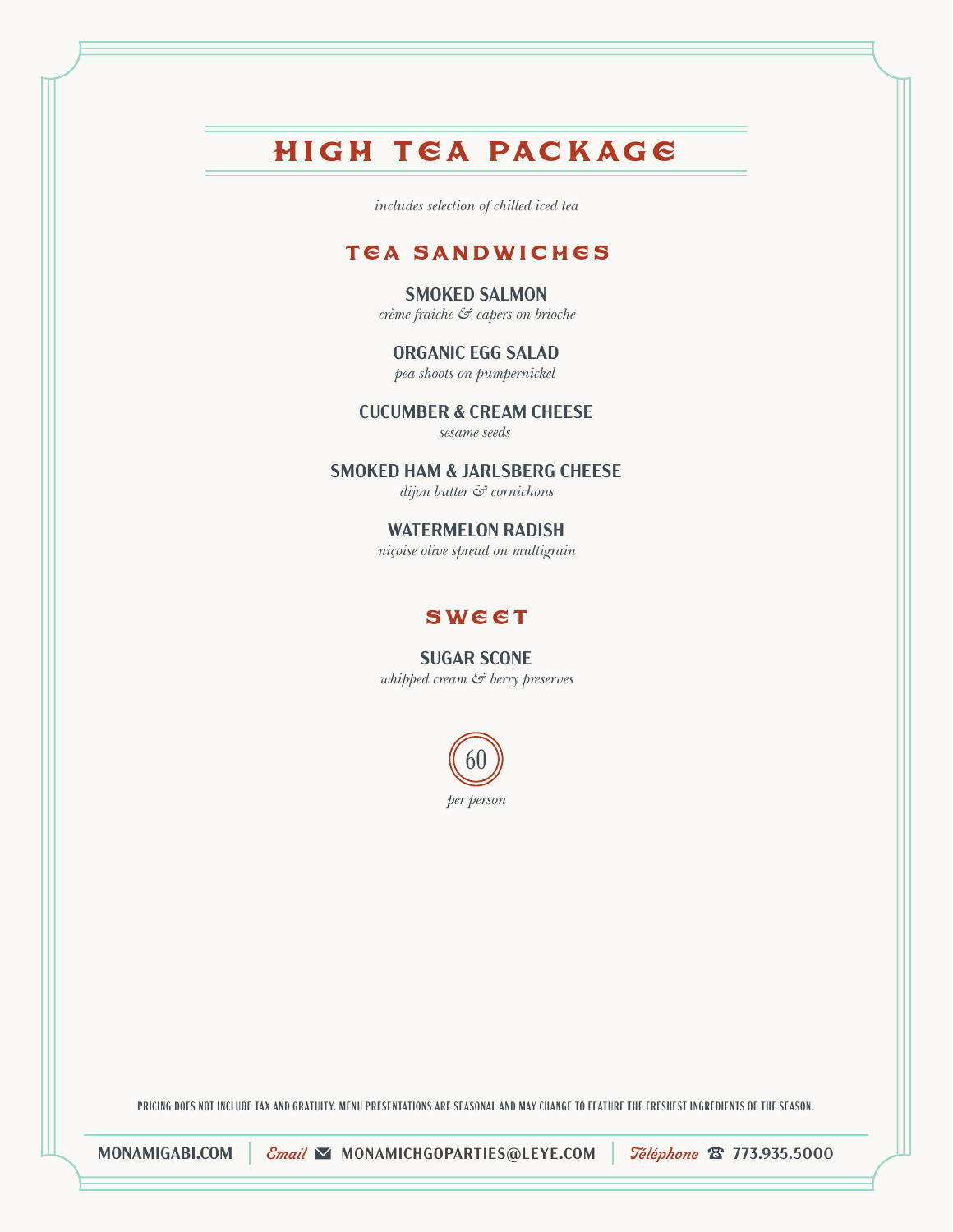# High Tea Package

*includes selection of chilled iced tea*

## tea sandwiches

#### **SMOKED SALMON**

*crème fraiche & capers on brioche*

#### **ORGANIC EGG SALAD**

*pea shoots on pumpernickel* 

#### **CUCUMBER & CREAM CHEESE**

*sesame seeds* 

#### **SMOKED HAM & JARLSBERG CHEESE**

*dijon butter & cornichons*

#### **WATERMELON RADISH**

*niçoise olive spread on multigrain*

## **sweet**

**SUGAR SCONE** *whipped cream & berry preserves*



**PRICING DOES NOT INCLUDE TAX AND GRATUITY. MENU PRESENTATIONS ARE SEASONAL AND MAY CHANGE TO FEATURE THE FRESHEST INGREDIENTS OF THE SEASON.**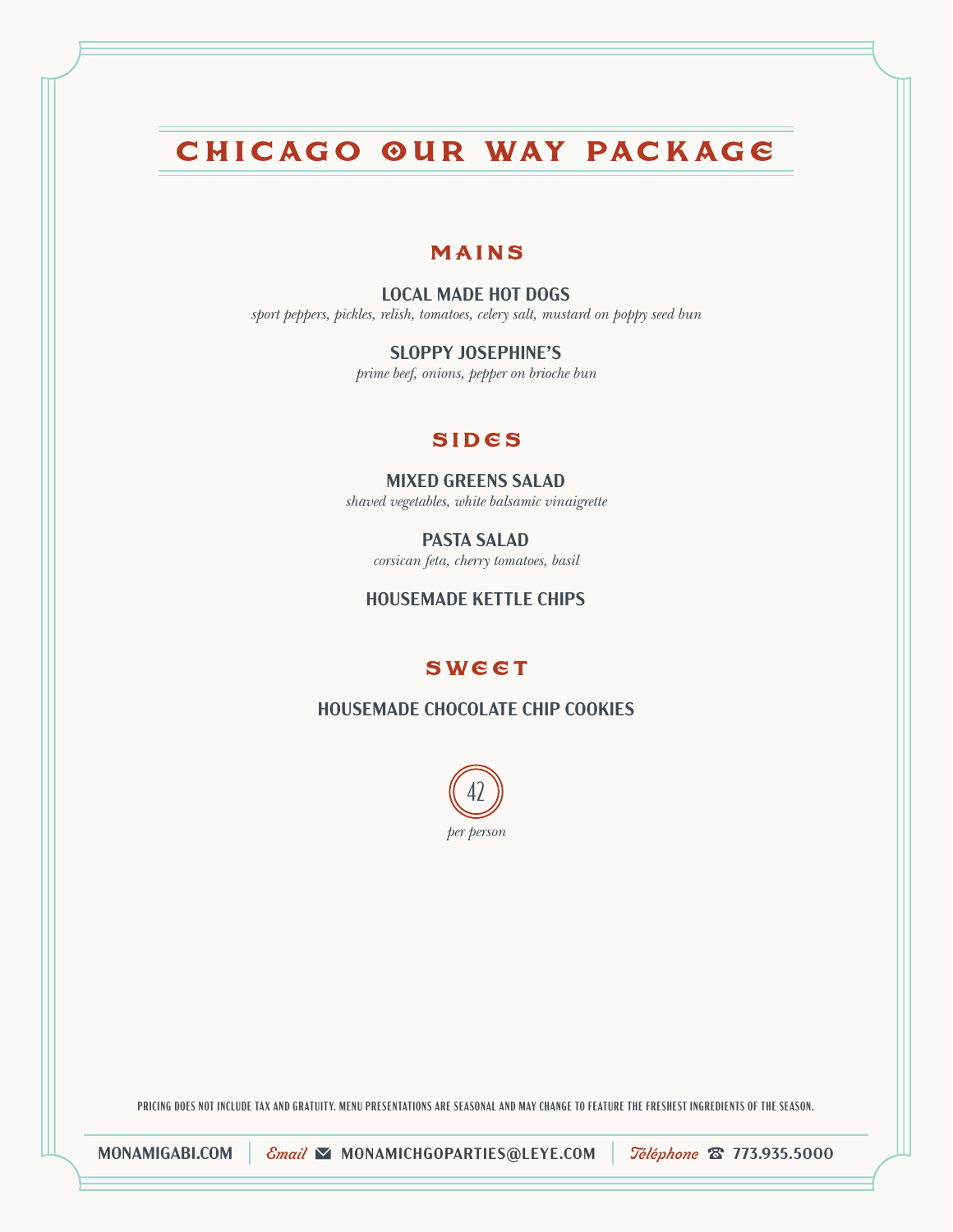# Chicago Our Way Package

#### MAINS

#### **LOCAL MADE HOT DOGS**

*sport peppers, pickles, relish, tomatoes, celery salt, mustard on poppy seed bun*

**SLOPPY JOSEPHINE'S**

*prime beef, onions, pepper on brioche bun*

#### sides

#### **MIXED GREENS SALAD**

*shaved vegetables, white balsamic vinaigrette*

**PASTA SALAD** *corsican feta, cherry tomatoes, basil*

#### **HOUSEMADE KETTLE CHIPS**

#### **sweet**

**HOUSEMADE CHOCOLATE CHIP COOKIES**



**PRICING DOES NOT INCLUDE TAX AND GRATUITY. MENU PRESENTATIONS ARE SEASONAL AND MAY CHANGE TO FEATURE THE FRESHEST INGREDIENTS OF THE SEASON.**